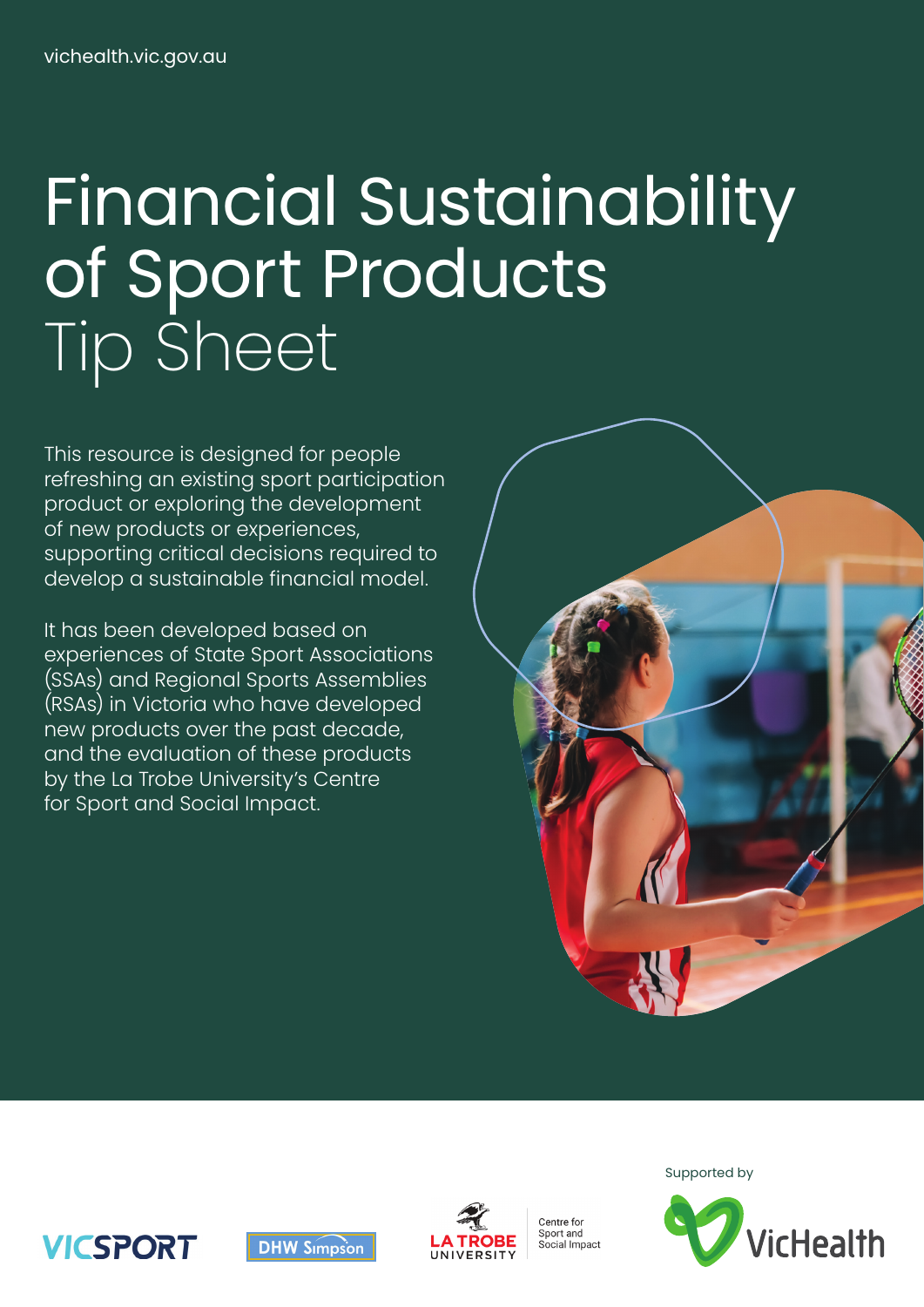# Financial Sustainability of Sport Products Tip Sheet

This resource is designed for people refreshing an existing sport participation product or exploring the development of new products or experiences, supporting critical decisions required to develop a sustainable financial model.

It has been developed based on experiences of State Sport Associations (SSAs) and Regional Sports Assemblies (RSAs) in Victoria who have developed new products over the past decade, and the evaluation of these products by the La Trobe University's Centre for Sport and Social Impact.









Centre for senneren<br>Sport and social Impact



Supported by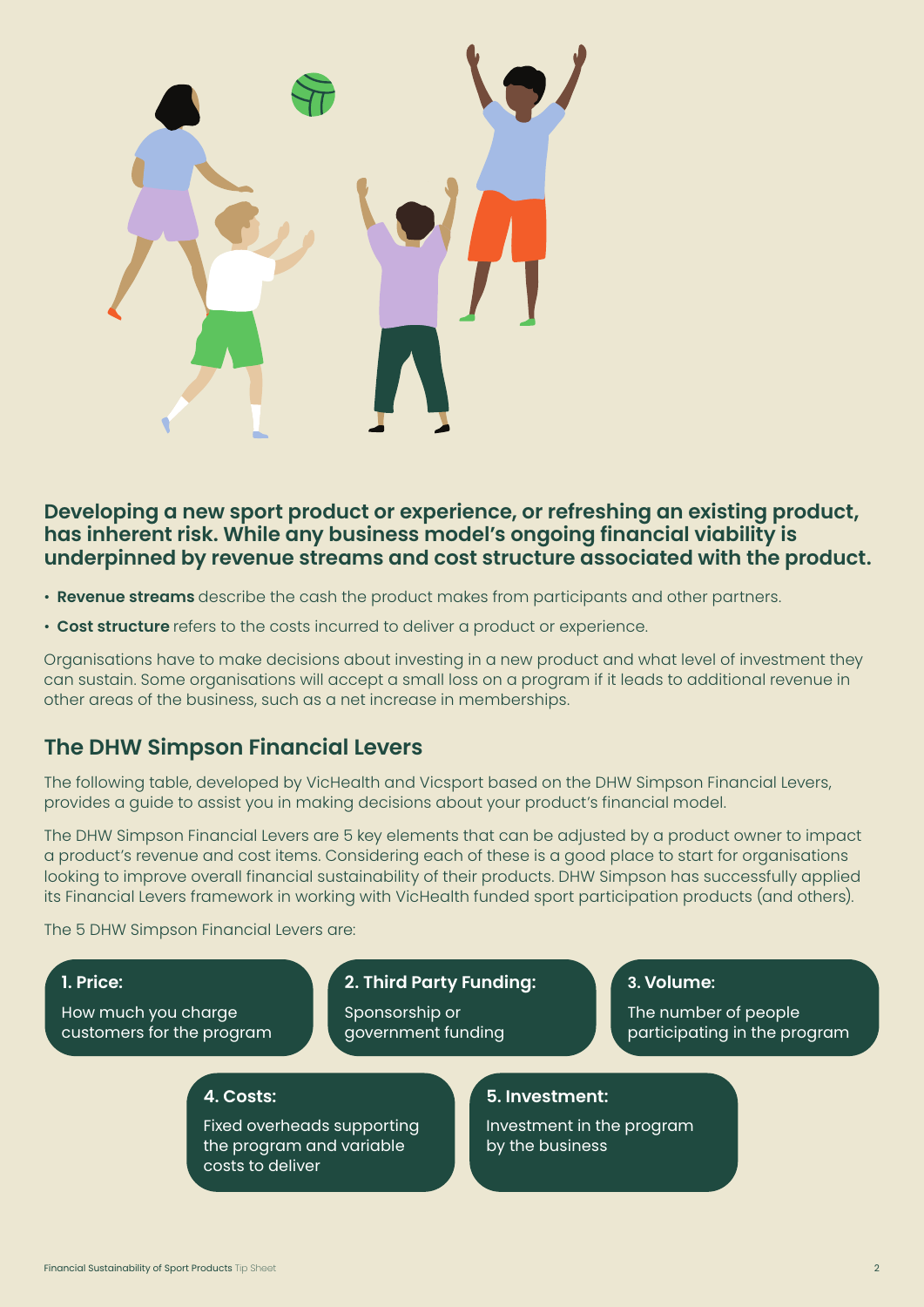

# **Developing a new sport product or experience, or refreshing an existing product, has inherent risk. While any business model's ongoing financial viability is underpinned by revenue streams and cost structure associated with the product.**

- **Revenue streams** describe the cash the product makes from participants and other partners.
- **Cost structure** refers to the costs incurred to deliver a product or experience.

Organisations have to make decisions about investing in a new product and what level of investment they can sustain. Some organisations will accept a small loss on a program if it leads to additional revenue in other areas of the business, such as a net increase in memberships.

# **The DHW Simpson Financial Levers**

The following table, developed by VicHealth and Vicsport based on the DHW Simpson Financial Levers, provides a guide to assist you in making decisions about your product's financial model.

The DHW Simpson Financial Levers are 5 key elements that can be adjusted by a product owner to impact a product's revenue and cost items. Considering each of these is a good place to start for organisations looking to improve overall financial sustainability of their products. DHW Simpson has successfully applied its Financial Levers framework in working with VicHealth funded sport participation products (and others).

The 5 DHW Simpson Financial Levers are:

## **1. Price:**

How much you charge customers for the program

## **2. Third Party Funding:**

Sponsorship or government funding

#### **3. Volume:**

The number of people participating in the program

### **4. Costs:**

Fixed overheads supporting the program and variable costs to deliver

## **5. Investment:**

Investment in the program by the business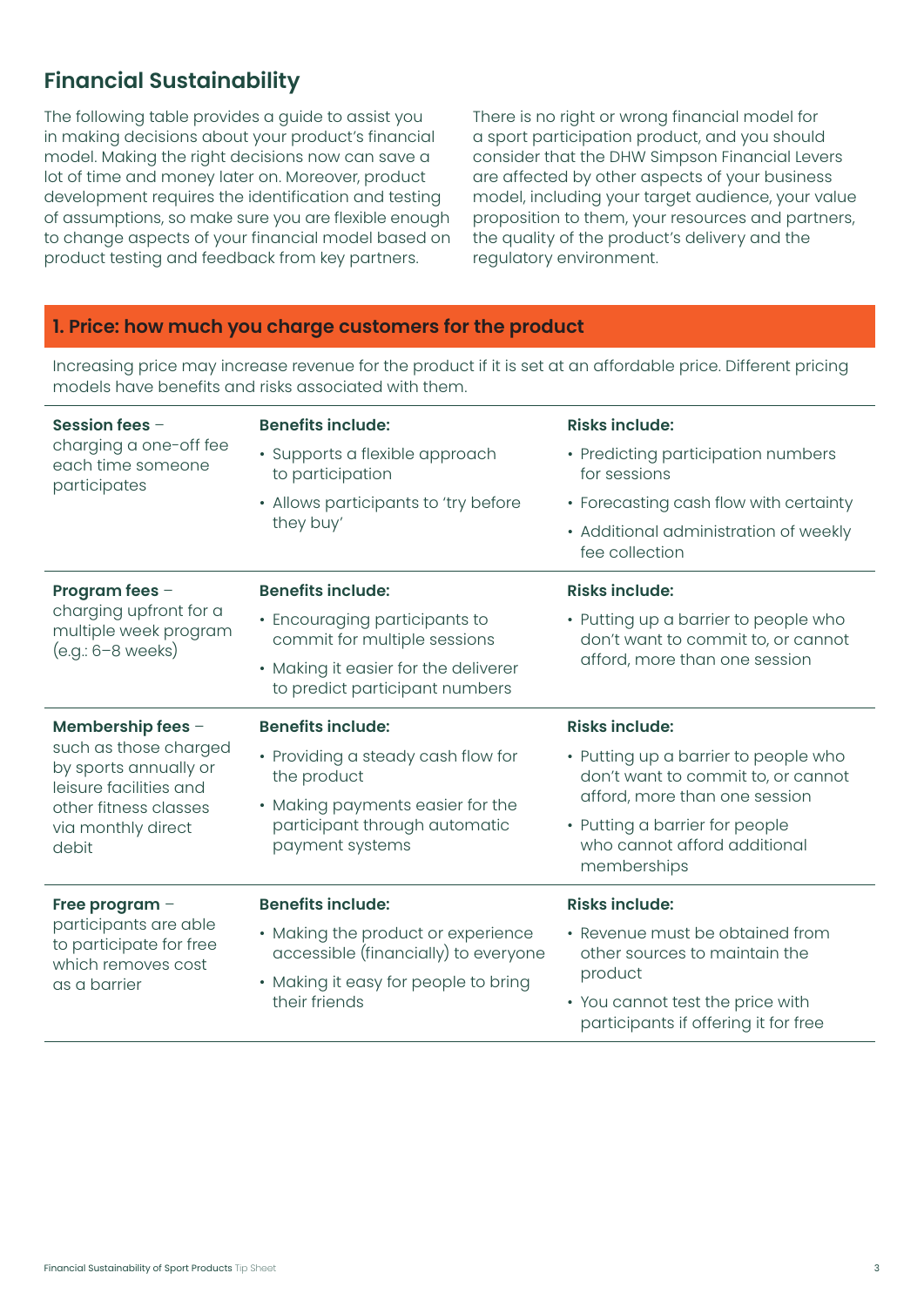# **Financial Sustainability**

The following table provides a guide to assist you in making decisions about your product's financial model. Making the right decisions now can save a lot of time and money later on. Moreover, product development requires the identification and testing of assumptions, so make sure you are flexible enough to change aspects of your financial model based on product testing and feedback from key partners.

There is no right or wrong financial model for a sport participation product, and you should consider that the DHW Simpson Financial Levers are affected by other aspects of your business model, including your target audience, your value proposition to them, your resources and partners, the quality of the product's delivery and the regulatory environment.

## **1. Price: how much you charge customers for the product**

Increasing price may increase revenue for the product if it is set at an affordable price. Different pricing models have benefits and risks associated with them.

| Session fees $-$<br>charging a one-off fee<br>each time someone<br>participates                          | <b>Benefits include:</b>                                                             | <b>Risks include:</b>                                                                                       |
|----------------------------------------------------------------------------------------------------------|--------------------------------------------------------------------------------------|-------------------------------------------------------------------------------------------------------------|
|                                                                                                          | · Supports a flexible approach<br>to participation                                   | • Predicting participation numbers<br>for sessions                                                          |
|                                                                                                          | • Allows participants to 'try before<br>they buy'                                    | • Forecasting cash flow with certainty                                                                      |
|                                                                                                          |                                                                                      | • Additional administration of weekly<br>fee collection                                                     |
| Program fees -<br>charging upfront for a<br>multiple week program<br>(e.g.: 6-8 weeks)                   | <b>Benefits include:</b>                                                             | <b>Risks include:</b>                                                                                       |
|                                                                                                          | • Encouraging participants to<br>commit for multiple sessions                        | • Putting up a barrier to people who<br>don't want to commit to, or cannot<br>afford, more than one session |
|                                                                                                          | • Making it easier for the deliverer<br>to predict participant numbers               |                                                                                                             |
| Membership fees -<br>such as those charged<br>by sports annually or<br>leisure facilities and            | <b>Benefits include:</b>                                                             | <b>Risks include:</b>                                                                                       |
|                                                                                                          | • Providing a steady cash flow for<br>the product                                    | • Putting up a barrier to people who<br>don't want to commit to, or cannot                                  |
| other fitness classes                                                                                    | • Making payments easier for the<br>participant through automatic<br>payment systems | afford, more than one session                                                                               |
| via monthly direct<br>debit                                                                              |                                                                                      | • Putting a barrier for people<br>who cannot afford additional<br>memberships                               |
| Free program -<br>participants are able<br>to participate for free<br>which removes cost<br>as a barrier | <b>Benefits include:</b>                                                             | <b>Risks include:</b>                                                                                       |
|                                                                                                          | • Making the product or experience<br>accessible (financially) to everyone           | • Revenue must be obtained from<br>other sources to maintain the<br>product                                 |
|                                                                                                          | • Making it easy for people to bring<br>their friends                                |                                                                                                             |
|                                                                                                          |                                                                                      | • You cannot test the price with<br>participants if offering it for free                                    |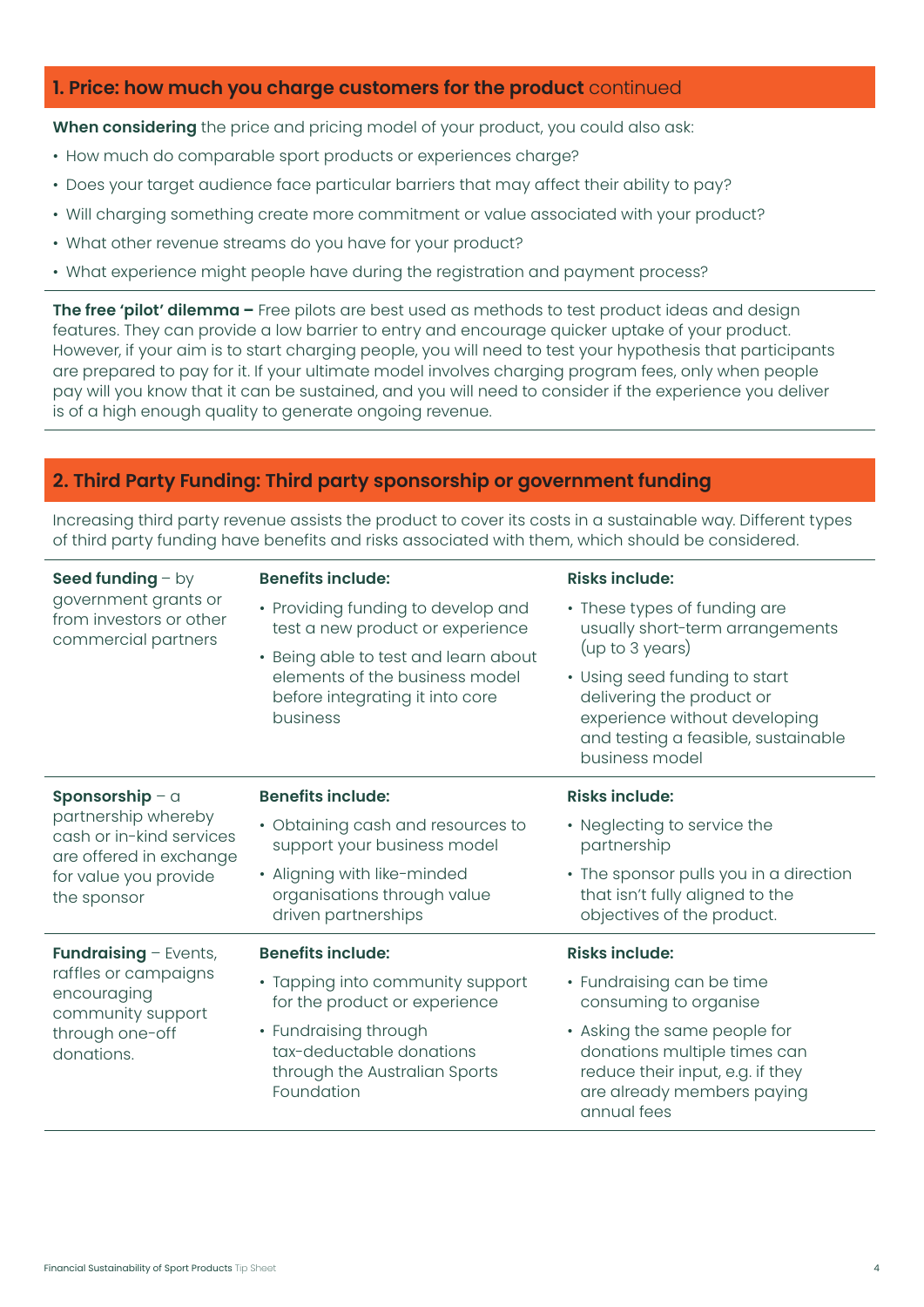## **1. Price: how much you charge customers for the product** continued

**When considering** the price and pricing model of your product, you could also ask:

- How much do comparable sport products or experiences charge?
- Does your target audience face particular barriers that may affect their ability to pay?
- Will charging something create more commitment or value associated with your product?
- What other revenue streams do you have for your product?
- What experience might people have during the registration and payment process?

**The free 'pilot' dilemma –** Free pilots are best used as methods to test product ideas and design features. They can provide a low barrier to entry and encourage quicker uptake of your product. However, if your aim is to start charging people, you will need to test your hypothesis that participants are prepared to pay for it. If your ultimate model involves charging program fees, only when people pay will you know that it can be sustained, and you will need to consider if the experience you deliver is of a high enough quality to generate ongoing revenue.

## **2. Third Party Funding: Third party sponsorship or government funding**

Increasing third party revenue assists the product to cover its costs in a sustainable way. Different types of third party funding have benefits and risks associated with them, which should be considered.

| Seed funding $-$ by<br>government grants or<br>from investors or other<br>commercial partners                                         | <b>Benefits include:</b>                                                                                                     | <b>Risks include:</b>                                                                                                                                                   |
|---------------------------------------------------------------------------------------------------------------------------------------|------------------------------------------------------------------------------------------------------------------------------|-------------------------------------------------------------------------------------------------------------------------------------------------------------------------|
|                                                                                                                                       | • Providing funding to develop and<br>test a new product or experience                                                       | • These types of funding are<br>usually short-term arrangements                                                                                                         |
|                                                                                                                                       | • Being able to test and learn about<br>elements of the business model<br>before integrating it into core<br><b>business</b> | (up to 3 years)<br>• Using seed funding to start<br>delivering the product or<br>experience without developing<br>and testing a feasible, sustainable<br>business model |
| Sponsorship - a<br>partnership whereby<br>cash or in-kind services<br>are offered in exchange<br>for value you provide<br>the sponsor | <b>Benefits include:</b>                                                                                                     | <b>Risks include:</b>                                                                                                                                                   |
|                                                                                                                                       | • Obtaining cash and resources to<br>support your business model                                                             | • Neglecting to service the<br>partnership                                                                                                                              |
|                                                                                                                                       | • Aligning with like-minded<br>organisations through value<br>driven partnerships                                            | • The sponsor pulls you in a direction<br>that isn't fully aligned to the<br>objectives of the product.                                                                 |
| <b>Fundraising - Events,</b><br>raffles or campaigns<br>encouraging<br>community support<br>through one-off<br>donations.             | <b>Benefits include:</b>                                                                                                     | <b>Risks include:</b>                                                                                                                                                   |
|                                                                                                                                       | • Tapping into community support<br>for the product or experience                                                            | • Fundraising can be time<br>consuming to organise                                                                                                                      |
|                                                                                                                                       | • Fundraising through<br>tax-deductable donations<br>through the Australian Sports<br>Foundation                             | • Asking the same people for<br>donations multiple times can<br>reduce their input, e.g. if they<br>are already members paying<br>annual fees                           |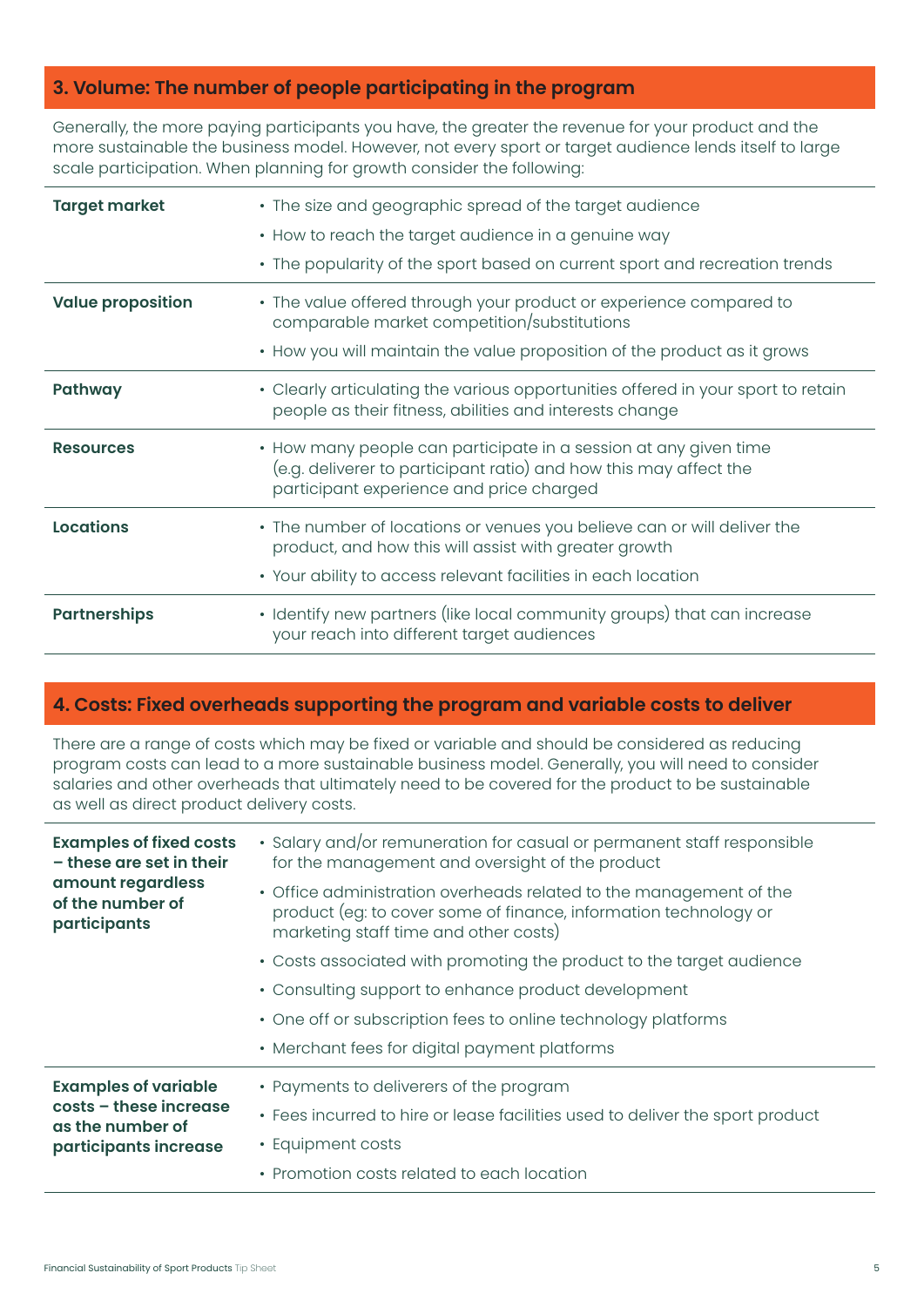# **3. Volume: The number of people participating in the program**

Generally, the more paying participants you have, the greater the revenue for your product and the more sustainable the business model. However, not every sport or target audience lends itself to large scale participation. When planning for growth consider the following:

| <b>Target market</b>     | • The size and geographic spread of the target audience                                                                                                                           |
|--------------------------|-----------------------------------------------------------------------------------------------------------------------------------------------------------------------------------|
|                          | • How to reach the target audience in a genuine way                                                                                                                               |
|                          | • The popularity of the sport based on current sport and recreation trends                                                                                                        |
| <b>Value proposition</b> | • The value offered through your product or experience compared to<br>comparable market competition/substitutions                                                                 |
|                          | • How you will maintain the value proposition of the product as it grows                                                                                                          |
| Pathway                  | • Clearly articulating the various opportunities offered in your sport to retain<br>people as their fitness, abilities and interests change                                       |
| <b>Resources</b>         | • How many people can participate in a session at any given time<br>(e.g. deliverer to participant ratio) and how this may affect the<br>participant experience and price charged |
| <b>Locations</b>         | • The number of locations or venues you believe can or will deliver the<br>product, and how this will assist with greater growth                                                  |
|                          | • Your ability to access relevant facilities in each location                                                                                                                     |
| <b>Partnerships</b>      | • Identify new partners (like local community groups) that can increase<br>your reach into different target audiences                                                             |

## **4. Costs: Fixed overheads supporting the program and variable costs to deliver**

There are a range of costs which may be fixed or variable and should be considered as reducing program costs can lead to a more sustainable business model. Generally, you will need to consider salaries and other overheads that ultimately need to be covered for the product to be sustainable as well as direct product delivery costs.

| <b>Examples of fixed costs</b><br>- these are set in their<br>amount regardless<br>of the number of<br>participants | • Salary and/or remuneration for casual or permanent staff responsible<br>for the management and oversight of the product<br>• Office administration overheads related to the management of the<br>product (eg: to cover some of finance, information technology or<br>marketing staff time and other costs) |
|---------------------------------------------------------------------------------------------------------------------|--------------------------------------------------------------------------------------------------------------------------------------------------------------------------------------------------------------------------------------------------------------------------------------------------------------|
|                                                                                                                     | • Costs associated with promoting the product to the target audience                                                                                                                                                                                                                                         |
|                                                                                                                     | • Consulting support to enhance product development                                                                                                                                                                                                                                                          |
|                                                                                                                     | • One off or subscription fees to online technology platforms                                                                                                                                                                                                                                                |
|                                                                                                                     | • Merchant fees for digital payment platforms                                                                                                                                                                                                                                                                |
| <b>Examples of variable</b><br>costs - these increase<br>as the number of<br>participants increase                  | • Payments to deliverers of the program                                                                                                                                                                                                                                                                      |
|                                                                                                                     | • Fees incurred to hire or lease facilities used to deliver the sport product                                                                                                                                                                                                                                |
|                                                                                                                     | • Equipment costs                                                                                                                                                                                                                                                                                            |
|                                                                                                                     | • Promotion costs related to each location                                                                                                                                                                                                                                                                   |